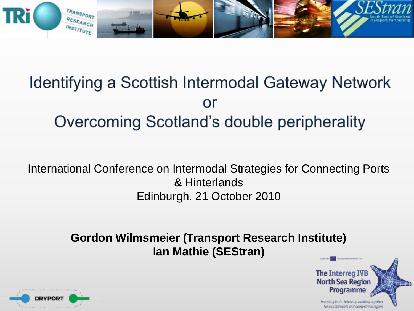

# Identifying a Scottish Intermodal Gateway Network or Overcoming Scotland's double peripherality

International Conference on Intermodal Strategies for Connecting Ports & Hinterlands Edinburgh. 21 October 2010

> **Gordon Wilmsmeier (Transport Research Institute) Ian Mathie (SEStran)**



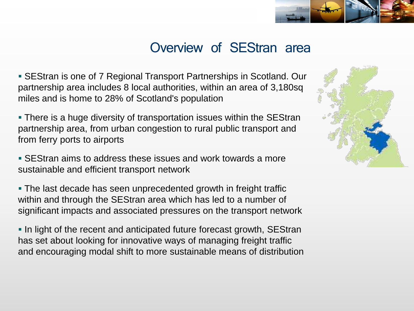

#### Overview of SEStran area

 SEStran is one of 7 Regional Transport Partnerships in Scotland. Our partnership area includes 8 local authorities, within an area of 3,180sq miles and is home to 28% of Scotland's population

 There is a huge diversity of transportation issues within the SEStran partnership area, from urban congestion to rural public transport and from ferry ports to airports

**SEStran aims to address these issues and work towards a more** sustainable and efficient transport network

 The last decade has seen unprecedented growth in freight traffic within and through the SEStran area which has led to a number of significant impacts and associated pressures on the transport network

In light of the recent and anticipated future forecast growth, SEStran has set about looking for innovative ways of managing freight traffic and encouraging modal shift to more sustainable means of distribution

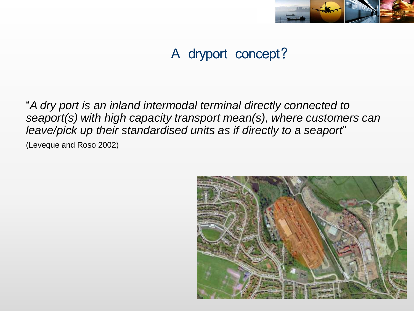

### A dryport concept?

"*A dry port is an inland intermodal terminal directly connected to seaport(s) with high capacity transport mean(s), where customers can leave/pick up their standardised units as if directly to a seaport*" (Leveque and Roso 2002)

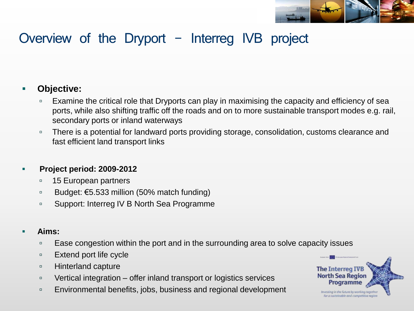

#### Overview of the Dryport  $-$  Interreg IVB project

#### **Objective:**

- **Examine the critical role that Dryports can play in maximising the capacity and efficiency of sea** ports, while also shifting traffic off the roads and on to more sustainable transport modes e.g. rail, secondary ports or inland waterways
- □ There is a potential for landward ports providing storage, consolidation, customs clearance and fast efficient land transport links

#### **Project period: 2009-2012**

- <sup>15</sup> European partners
- Budget:  $€5.533$  million (50% match funding)
- Support: Interreg IV B North Sea Programme

#### **Aims:**

- Ease congestion within the port and in the surrounding area to solve capacity issues
- $E$  Extend port life cycle
- **Example 21 Hinterland capture**
- □ Vertical integration offer inland transport or logistics services
- **Environmental benefits, jobs, business and regional development**

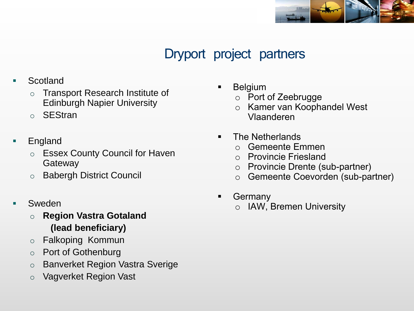

#### Dryport project partners

- Scotland
	- o Transport Research Institute of Edinburgh Napier University
	- o SEStran
- England
	- o Essex County Council for Haven **Gateway**
	- o Babergh District Council
- Sweden
	- o **Region Vastra Gotaland (lead beneficiary)**
	- o Falkoping Kommun
	- o Port of Gothenburg
	- o Banverket Region Vastra Sverige
	- o Vagverket Region Vast
- **Belgium** 
	- o Port of Zeebrugge
	- o Kamer van Koophandel West Vlaanderen
- **The Netherlands** 
	- o Gemeente Emmen
	- o Provincie Friesland
	- o Provincie Drente (sub-partner)
	- o Gemeente Coevorden (sub-partner)
- **Germany** 
	- o IAW, Bremen University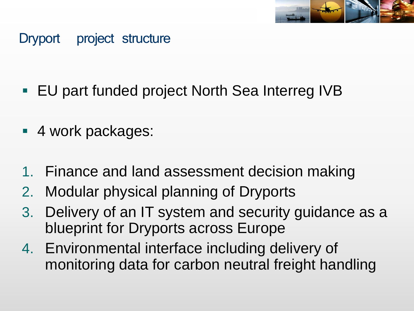

#### Dryport project structure

- EU part funded project North Sea Interreg IVB
- 4 work packages:
- 1. Finance and land assessment decision making
- 2. Modular physical planning of Dryports
- 3. Delivery of an IT system and security guidance as a blueprint for Dryports across Europe
- 4. Environmental interface including delivery of monitoring data for carbon neutral freight handling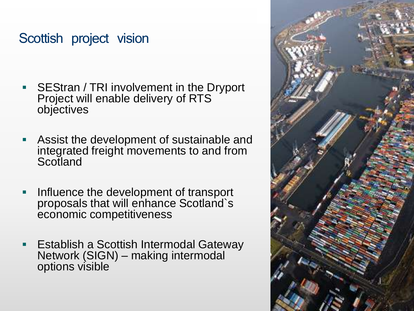#### Scottish project vision

- SEStran / TRI involvement in the Dryport Project will enable delivery of RTS objectives
- Assist the development of sustainable and integrated freight movements to and from **Scotland**
- **Influence the development of transport** proposals that will enhance Scotland`s economic competitiveness
- Establish a Scottish Intermodal Gateway Network (SIGN) – making intermodal options visible

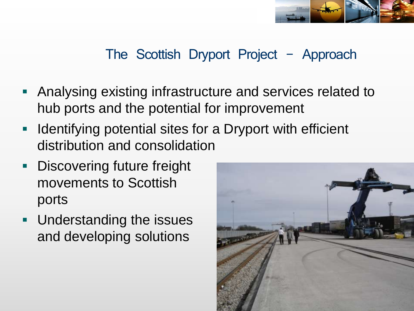

### The Scottish Dryport Project  $-$  Approach

- Analysing existing infrastructure and services related to hub ports and the potential for improvement
- **IDED 10** Identifying potential sites for a Dryport with efficient distribution and consolidation
- **Discovering future freight** movements to Scottish ports
- **Understanding the issues** and developing solutions

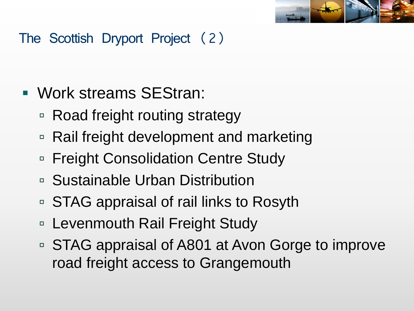

## The Scottish Dryport Project (2)

- Work streams SEStran:
	- Road freight routing strategy
	- Rail freight development and marketing
	- □ Freight Consolidation Centre Study
	- Sustainable Urban Distribution
	- STAG appraisal of rail links to Rosyth
	- □ Levenmouth Rail Freight Study
	- STAG appraisal of A801 at Avon Gorge to improve road freight access to Grangemouth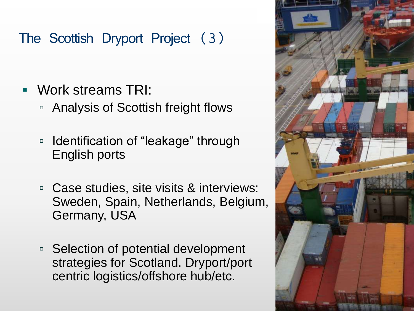### The Scottish Dryport Project (3)

- Work streams TRI:
	- Analysis of Scottish freight flows
	- □ Identification of "leakage" through English ports
	- Case studies, site visits & interviews: Sweden, Spain, Netherlands, Belgium, Germany, USA
	- □ Selection of potential development strategies for Scotland. Dryport/port centric logistics/offshore hub/etc.

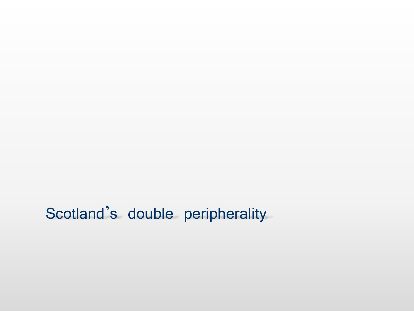# Scotland's double peripherality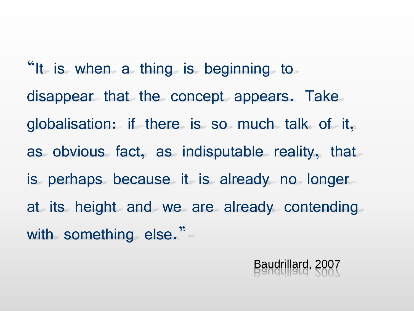"It is when a thing is beginning to disappear that the concept appears. Take globalisation: if there is so much talk of it, as obvious fact, as indisputable reality, that is perhaps because it is already no longer at its height and we are already contending with something else."

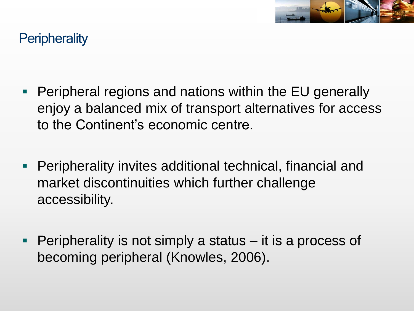

#### **Peripherality**

- **Peripheral regions and nations within the EU generally** enjoy a balanced mix of transport alternatives for access to the Continent"s economic centre.
- **Peripherality invites additional technical, financial and** market discontinuities which further challenge accessibility.
- Peripherality is not simply a status it is a process of becoming peripheral (Knowles, 2006).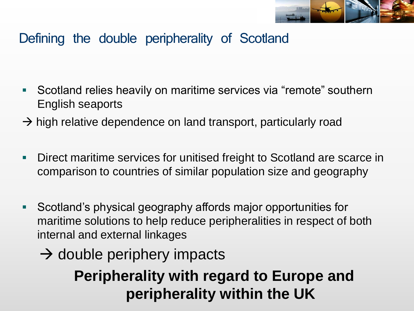

#### Defining the double peripherality of Scotland

- Scotland relies heavily on maritime services via "remote" southern English seaports
- $\rightarrow$  high relative dependence on land transport, particularly road
- **-** Direct maritime services for unitised freight to Scotland are scarce in comparison to countries of similar population size and geography
- Scotland"s physical geography affords major opportunities for maritime solutions to help reduce peripheralities in respect of both internal and external linkages
	- $\rightarrow$  double periphery impacts

**Peripherality with regard to Europe and peripherality within the UK**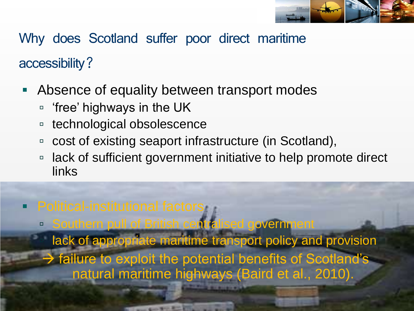

Why does Scotland suffer poor direct maritime accessibility?

- Absence of equality between transport modes
	- $\Box$  'free' highways in the UK
	- technological obsolescence
	- □ cost of existing seaport infrastructure (in Scotland),
	- □ lack of sufficient government initiative to help promote direct links
- **Political-institutional factors** 
	- Southern pull of British centralised government

 lack of appropriate maritime transport policy and provision  $\rightarrow$  failure to exploit the potential benefits of Scotland's natural maritime highways (Baird et al., 2010).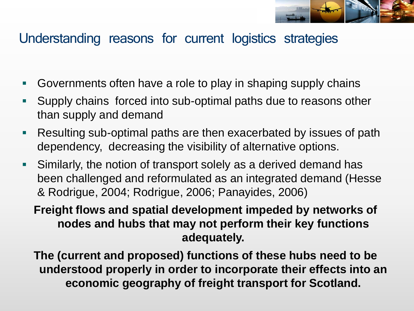

#### Understanding reasons for current logistics strategies

- Governments often have a role to play in shaping supply chains
- Supply chains forced into sub-optimal paths due to reasons other than supply and demand
- Resulting sub-optimal paths are then exacerbated by issues of path dependency, decreasing the visibility of alternative options.
- Similarly, the notion of transport solely as a derived demand has been challenged and reformulated as an integrated demand (Hesse & Rodrigue, 2004; Rodrigue, 2006; Panayides, 2006)

**Freight flows and spatial development impeded by networks of nodes and hubs that may not perform their key functions adequately.** 

**The (current and proposed) functions of these hubs need to be understood properly in order to incorporate their effects into an economic geography of freight transport for Scotland.**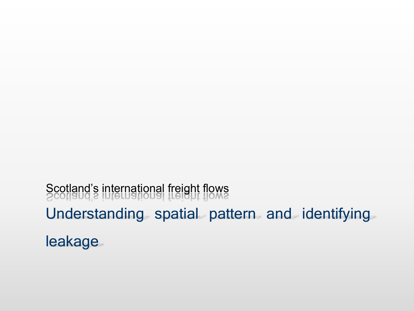Understanding spatial pattern and identifying leakage Scotland's international freight flows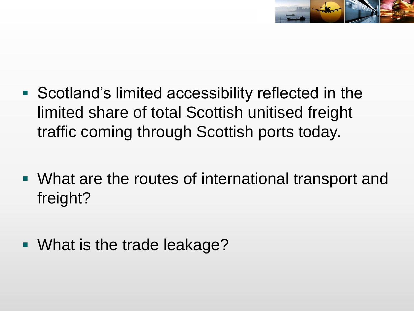

- Scotland's limited accessibility reflected in the limited share of total Scottish unitised freight traffic coming through Scottish ports today.
- What are the routes of international transport and freight?
- What is the trade leakage?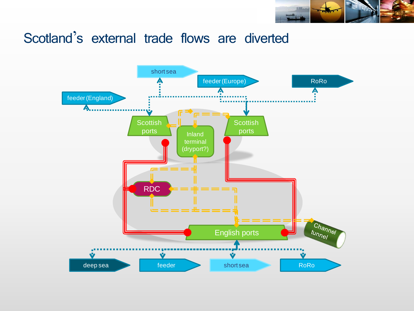

#### Scotland's external trade flows are diverted

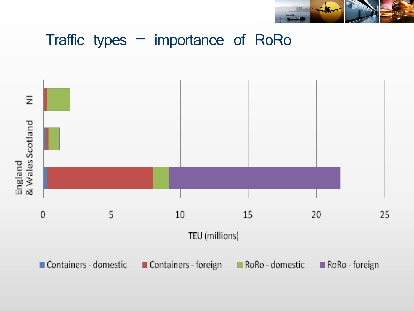

## Traffic types – importance of RoRo

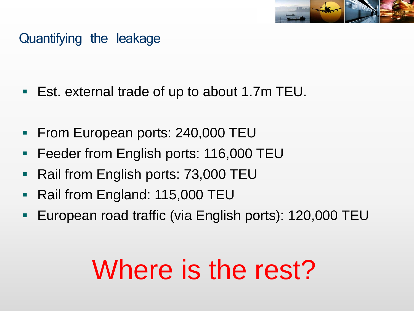

#### Quantifying the leakage

- Est. external trade of up to about 1.7m TEU.
- **From European ports: 240,000 TEU**
- **Feeder from English ports: 116,000 TEU**
- Rail from English ports: 73,000 TEU
- Rail from England: 115,000 TEU
- **European road traffic (via English ports): 120,000 TEU**

# Where is the rest?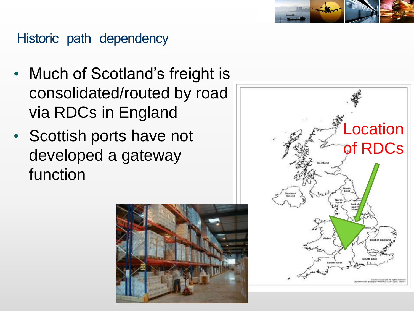#### Historic path dependency

- Much of Scotland's freight is consolidated/routed by road via RDCs in England
- Scottish ports have not developed a gateway function



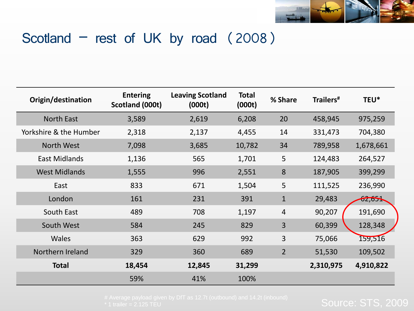

#### Scotland – rest of UK by road (2008)

| Origin/destination     | <b>Entering</b><br>Scotland (000t) | <b>Leaving Scotland</b><br>(000t) | <b>Total</b><br>(000t) | % Share        | Trailers <sup>#</sup> | TEU*      |
|------------------------|------------------------------------|-----------------------------------|------------------------|----------------|-----------------------|-----------|
| <b>North East</b>      | 3,589                              | 2,619                             | 6,208                  | 20             | 458,945               | 975,259   |
| Yorkshire & the Humber | 2,318                              | 2,137                             | 4,455                  | 14             | 331,473               | 704,380   |
| North West             | 7,098                              | 3,685                             | 10,782                 | 34             | 789,958               | 1,678,661 |
| <b>East Midlands</b>   | 1,136                              | 565                               | 1,701                  | 5              | 124,483               | 264,527   |
| <b>West Midlands</b>   | 1,555                              | 996                               | 2,551                  | 8              | 187,905               | 399,299   |
| East                   | 833                                | 671                               | 1,504                  | 5              | 111,525               | 236,990   |
| London                 | 161                                | 231                               | 391                    | $\mathbf{1}$   | 29,483                | 62,651    |
| South East             | 489                                | 708                               | 1,197                  | $\overline{4}$ | 90,207                | 191,690   |
| South West             | 584                                | 245                               | 829                    | 3              | 60,399                | 128,348   |
| <b>Wales</b>           | 363                                | 629                               | 992                    | $\overline{3}$ | 75,066                | 159,516   |
| Northern Ireland       | 329                                | 360                               | 689                    | $\overline{2}$ | 51,530                | 109,502   |
| <b>Total</b>           | 18,454                             | 12,845                            | 31,299                 |                | 2,310,975             | 4,910,822 |
|                        | 59%                                | 41%                               | 100%                   |                |                       |           |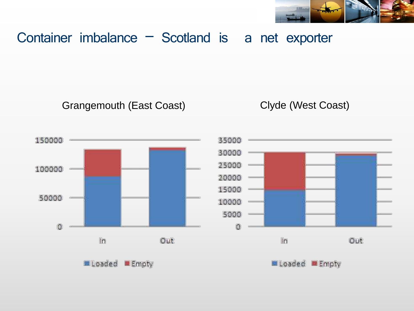

#### Container imbalance – Scotland is a net exporter

Grangemouth (East Coast) Clyde (West Coast)

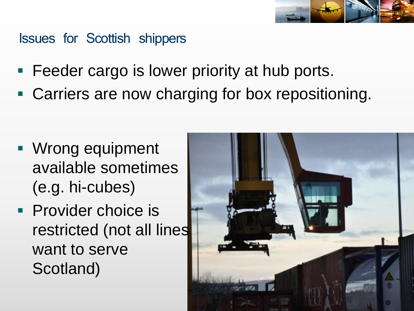

#### Issues for Scottish shippers

- **Feeder cargo is lower priority at hub ports.**
- Carriers are now charging for box repositioning.

- **Wrong equipment** available sometimes (e.g. hi-cubes)
- **Provider choice is** restricted (not all lines want to serve Scotland)

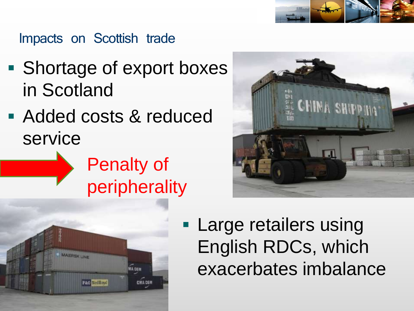

#### Impacts on Scottish trade

- **Shortage of export boxes** in Scotland
- Added costs & reduced service







**Large retailers using** English RDCs, which exacerbates imbalance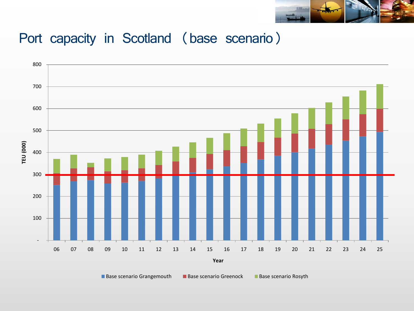

#### Port capacity in Scotland (base scenario)



■ Base scenario Grangemouth Base scenario Greenock Base scenario Rosyth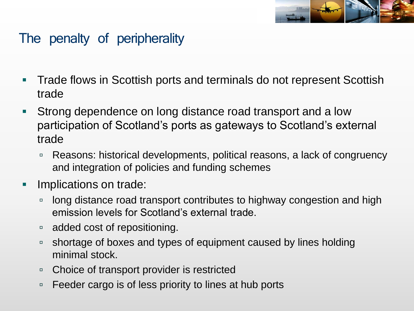

#### The penalty of peripherality

- **Trade flows in Scottish ports and terminals do not represent Scottish** trade
- **Strong dependence on long distance road transport and a low** participation of Scotland"s ports as gateways to Scotland"s external trade
	- □ Reasons: historical developments, political reasons, a lack of congruency and integration of policies and funding schemes
- **Implications on trade:** 
	- $\Box$  long distance road transport contributes to highway congestion and high emission levels for Scotland"s external trade.
	- □ added cost of repositioning.
	- □ shortage of boxes and types of equipment caused by lines holding minimal stock.
	- □ Choice of transport provider is restricted
	- □ Feeder cargo is of less priority to lines at hub ports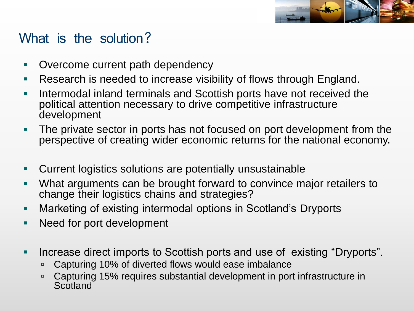

#### What is the solution?

- Overcome current path dependency
- **Research is needed to increase visibility of flows through England.**
- Intermodal inland terminals and Scottish ports have not received the political attention necessary to drive competitive infrastructure development
- The private sector in ports has not focused on port development from the perspective of creating wider economic returns for the national economy.
- Current logistics solutions are potentially unsustainable
- What arguments can be brought forward to convince major retailers to change their logistics chains and strategies?
- **-** Marketing of existing intermodal options in Scotland's Dryports
- **Need for port development**
- Increase direct imports to Scottish ports and use of existing "Dryports".
	- □ Capturing 10% of diverted flows would ease imbalance
	- □ Capturing 15% requires substantial development in port infrastructure in **Scotland**